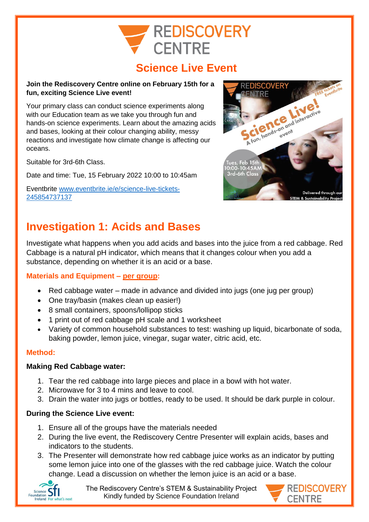# **REDISCOVERY CENTRE**

## **Science Live Event**

#### **Join the Rediscovery Centre online on February 15th for a fun, exciting Science Live event!**

Your primary class can conduct science experiments along with our Education team as we take you through fun and hands-on science experiments. Learn about the amazing acids and bases, looking at their colour changing ability, messy reactions and investigate how climate change is affecting our oceans.

Suitable for 3rd-6th Class.

Date and time: Tue, 15 February 2022 10:00 to 10:45am

Eventbrite [www.eventbrite.ie/e/science-live-tickets-](http://www.eventbrite.ie/e/science-live-tickets-245854737137)[245854737137](http://www.eventbrite.ie/e/science-live-tickets-245854737137)



## **Investigation 1: Acids and Bases**

Investigate what happens when you add acids and bases into the juice from a red cabbage. Red Cabbage is a natural pH indicator, which means that it changes colour when you add a substance, depending on whether it is an acid or a base.

## **Materials and Equipment – per group:**

- Red cabbage water made in advance and divided into jugs (one jug per group)
- One tray/basin (makes clean up easier!)
- 8 small containers, spoons/lollipop sticks
- 1 print out of red cabbage pH scale and 1 worksheet
- Variety of common household substances to test: washing up liquid, bicarbonate of soda, baking powder, lemon juice, vinegar, sugar water, citric acid, etc.

## **Method:**

## **Making Red Cabbage water:**

- 1. Tear the red cabbage into large pieces and place in a bowl with hot water.
- 2. Microwave for 3 to 4 mins and leave to cool.
- 3. Drain the water into jugs or bottles, ready to be used. It should be dark purple in colour.

## **During the Science Live event:**

- 1. Ensure all of the groups have the materials needed
- 2. During the live event, the Rediscovery Centre Presenter will explain acids, bases and indicators to the students.
- 3. The Presenter will demonstrate how red cabbage juice works as an indicator by putting some lemon juice into one of the glasses with the red cabbage juice. Watch the colour change. Lead a discussion on whether the lemon juice is an acid or a base.



The Rediscovery Centre's STEM & Sustainability Project Kindly funded by Science Foundation Ireland

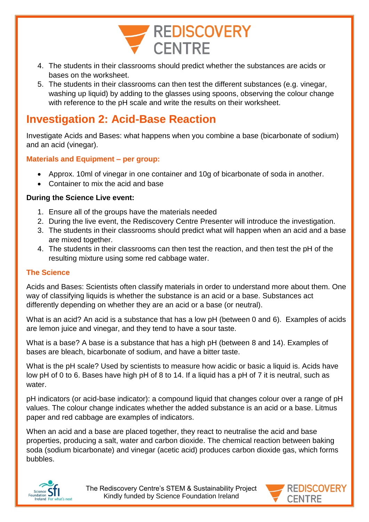

- 4. The students in their classrooms should predict whether the substances are acids or bases on the worksheet.
- 5. The students in their classrooms can then test the different substances (e.g. vinegar, washing up liquid) by adding to the glasses using spoons, observing the colour change with reference to the pH scale and write the results on their worksheet.

## **Investigation 2: Acid-Base Reaction**

Investigate Acids and Bases: what happens when you combine a base (bicarbonate of sodium) and an acid (vinegar).

## **Materials and Equipment – per group:**

- Approx. 10ml of vinegar in one container and 10g of bicarbonate of soda in another.
- Container to mix the acid and base

## **During the Science Live event:**

- 1. Ensure all of the groups have the materials needed
- 2. During the live event, the Rediscovery Centre Presenter will introduce the investigation.
- 3. The students in their classrooms should predict what will happen when an acid and a base are mixed together.
- 4. The students in their classrooms can then test the reaction, and then test the pH of the resulting mixture using some red cabbage water.

## **The Science**

Acids and Bases: Scientists often classify materials in order to understand more about them. One way of classifying liquids is whether the substance is an acid or a base. Substances act differently depending on whether they are an acid or a base (or neutral).

What is an acid? An acid is a substance that has a low pH (between 0 and 6). Examples of acids are lemon juice and vinegar, and they tend to have a sour taste.

What is a base? A base is a substance that has a high pH (between 8 and 14). Examples of bases are bleach, bicarbonate of sodium, and have a bitter taste.

What is the pH scale? Used by scientists to measure how acidic or basic a liquid is. Acids have low pH of 0 to 6. Bases have high pH of 8 to 14. If a liquid has a pH of 7 it is neutral, such as water.

pH indicators (or acid-base indicator): a compound liquid that changes colour over a range of pH values. The colour change indicates whether the added substance is an acid or a base. Litmus paper and red cabbage are examples of indicators.

When an acid and a base are placed together, they react to neutralise the acid and base properties, producing a salt, water and carbon dioxide. The chemical reaction between baking soda (sodium bicarbonate) and vinegar (acetic acid) produces carbon dioxide gas, which forms bubbles.



The Rediscovery Centre's STEM & Sustainability Project Kindly funded by Science Foundation Ireland

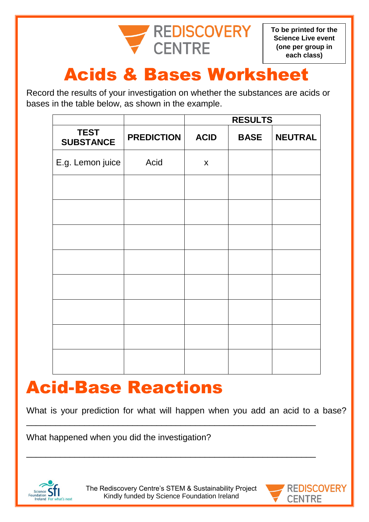

**To be printed for the Science Live event (one per group in each class)**

# Acids & Bases Worksheet

Record the results of your investigation on whether the substances are acids or bases in the table below, as shown in the example.

|                                 |                   | <b>RESULTS</b> |             |                |
|---------------------------------|-------------------|----------------|-------------|----------------|
| <b>TEST</b><br><b>SUBSTANCE</b> | <b>PREDICTION</b> | <b>ACID</b>    | <b>BASE</b> | <b>NEUTRAL</b> |
| E.g. Lemon juice                | Acid              | $\mathsf{x}$   |             |                |
|                                 |                   |                |             |                |
|                                 |                   |                |             |                |
|                                 |                   |                |             |                |
|                                 |                   |                |             |                |
|                                 |                   |                |             |                |
|                                 |                   |                |             |                |
|                                 |                   |                |             |                |
|                                 |                   |                |             |                |

## Acid-Base Reactions

What is your prediction for what will happen when you add an acid to a base?

What happened when you did the investigation?



\_\_\_\_\_\_\_\_\_\_\_\_\_\_\_\_\_\_\_\_\_\_\_\_\_\_\_\_\_\_\_\_\_\_\_\_\_\_\_\_\_\_\_\_\_\_\_\_\_\_\_\_\_\_\_\_\_\_\_\_

\_\_\_\_\_\_\_\_\_\_\_\_\_\_\_\_\_\_\_\_\_\_\_\_\_\_\_\_\_\_\_\_\_\_\_\_\_\_\_\_\_\_\_\_\_\_\_\_\_\_\_\_\_\_\_\_\_\_\_\_